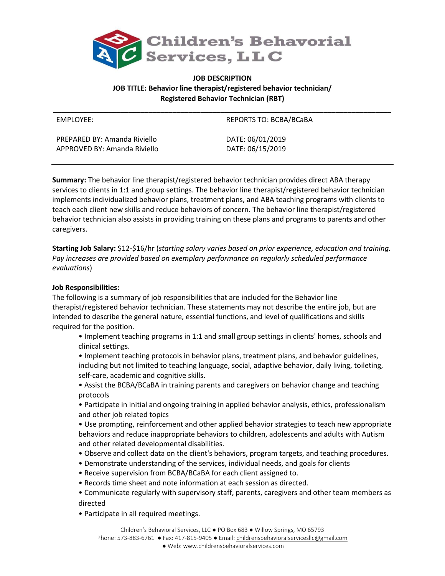

# **JOB DESCRIPTION JOB TITLE: Behavior line therapist/registered behavior technician/ Registered Behavior Technician (RBT)**

| EMPLOYEE:                                                    | <b>REPORTS TO: BCBA/BCaBA</b>        |
|--------------------------------------------------------------|--------------------------------------|
| PREPARED BY: Amanda Riviello<br>APPROVED BY: Amanda Riviello | DATE: 06/01/2019<br>DATE: 06/15/2019 |

**Summary:** The behavior line therapist/registered behavior technician provides direct ABA therapy services to clients in 1:1 and group settings. The behavior line therapist/registered behavior technician implements individualized behavior plans, treatment plans, and ABA teaching programs with clients to teach each client new skills and reduce behaviors of concern. The behavior line therapist/registered behavior technician also assists in providing training on these plans and programs to parents and other caregivers.

**Starting Job Salary:** \$12-\$16/hr (*starting salary varies based on prior experience, education and training. Pay increases are provided based on exemplary performance on regularly scheduled performance evaluations*)

## **Job Responsibilities:**

The following is a summary of job responsibilities that are included for the Behavior line therapist/registered behavior technician. These statements may not describe the entire job, but are intended to describe the general nature, essential functions, and level of qualifications and skills required for the position.

• Implement teaching programs in 1:1 and small group settings in clients' homes, schools and clinical settings.

• Implement teaching protocols in behavior plans, treatment plans, and behavior guidelines, including but not limited to teaching language, social, adaptive behavior, daily living, toileting, self-care, academic and cognitive skills.

• Assist the BCBA/BCaBA in training parents and caregivers on behavior change and teaching protocols

• Participate in initial and ongoing training in applied behavior analysis, ethics, professionalism and other job related topics

• Use prompting, reinforcement and other applied behavior strategies to teach new appropriate behaviors and reduce inappropriate behaviors to children, adolescents and adults with Autism and other related developmental disabilities.

- Observe and collect data on the client's behaviors, program targets, and teaching procedures.
- Demonstrate understanding of the services, individual needs, and goals for clients
- Receive supervision from BCBA/BCaBA for each client assigned to.
- Records time sheet and note information at each session as directed.
- Communicate regularly with supervisory staff, parents, caregivers and other team members as directed

• Participate in all required meetings.

Children's Behavioral Services, LLC ● PO Box 683 ● Willow Springs, MO 65793

Phone: 573-883-6761 ● Fax: 417-815-9405 ● Email: [childrensbehavioralservicesllc@gmail.com](mailto:childrensbehavioralservicesllc@gmail.com)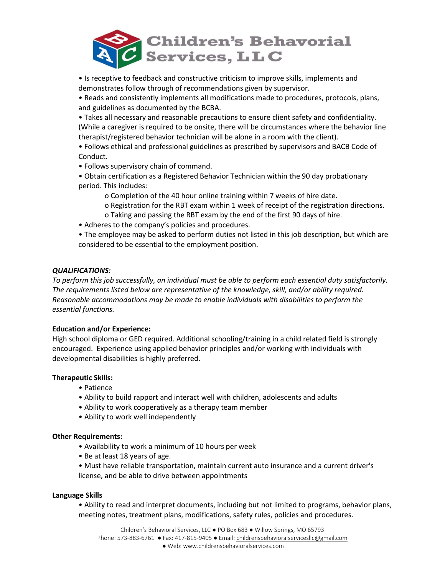

• Is receptive to feedback and constructive criticism to improve skills, implements and demonstrates follow through of recommendations given by supervisor.

• Reads and consistently implements all modifications made to procedures, protocols, plans, and guidelines as documented by the BCBA.

• Takes all necessary and reasonable precautions to ensure client safety and confidentiality. (While a caregiver is required to be onsite, there will be circumstances where the behavior line therapist/registered behavior technician will be alone in a room with the client).

• Follows ethical and professional guidelines as prescribed by supervisors and BACB Code of Conduct.

• Follows supervisory chain of command.

• Obtain certification as a Registered Behavior Technician within the 90 day probationary period. This includes:

- o Completion of the 40 hour online training within 7 weeks of hire date.
- o Registration for the RBT exam within 1 week of receipt of the registration directions.
- o Taking and passing the RBT exam by the end of the first 90 days of hire.
- Adheres to the company's policies and procedures.
- The employee may be asked to perform duties not listed in this job description, but which are considered to be essential to the employment position.

### *QUALIFICATIONS:*

*To perform this job successfully, an individual must be able to perform each essential duty satisfactorily. The requirements listed below are representative of the knowledge, skill, and/or ability required. Reasonable accommodations may be made to enable individuals with disabilities to perform the essential functions.*

### **Education and/or Experience:**

High school diploma or GED required. Additional schooling/training in a child related field is strongly encouraged. Experience using applied behavior principles and/or working with individuals with developmental disabilities is highly preferred.

### **Therapeutic Skills:**

- Patience
- Ability to build rapport and interact well with children, adolescents and adults
- Ability to work cooperatively as a therapy team member
- Ability to work well independently

### **Other Requirements:**

- Availability to work a minimum of 10 hours per week
- Be at least 18 years of age.
- Must have reliable transportation, maintain current auto insurance and a current driver's license, and be able to drive between appointments

### **Language Skills**

• Ability to read and interpret documents, including but not limited to programs, behavior plans, meeting notes, treatment plans, modifications, safety rules, policies and procedures.

Children's Behavioral Services, LLC ● PO Box 683 ● Willow Springs, MO 65793

Phone: 573-883-6761 ● Fax: 417-815-9405 ● Email: [childrensbehavioralservicesllc@gmail.com](mailto:childrensbehavioralservicesllc@gmail.com)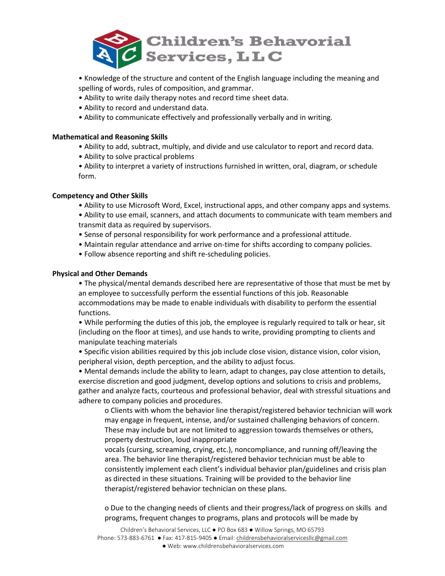

• Knowledge of the structure and content of the English language including the meaning and spelling of words, rules of composition, and grammar.

- Ability to write daily therapy notes and record time sheet data.
- Ability to record and understand data.
- Ability to communicate effectively and professionally verbally and in writing.

#### **Mathematical and Reasoning Skills**

- Ability to add, subtract, multiply, and divide and use calculator to report and record data.
- Ability to solve practical problems
- Ability to interpret a variety of instructions furnished in written, oral, diagram, or schedule form.

#### **Competency and Other Skills**

- Ability to use Microsoft Word, Excel, instructional apps, and other company apps and systems.
- Ability to use email, scanners, and attach documents to communicate with team members and transmit data as required by supervisors.
- Sense of personal responsibility for work performance and a professional attitude.
- Maintain regular attendance and arrive on-time for shifts according to company policies.
- Follow absence reporting and shift re-scheduling policies.

#### **Physical and Other Demands**

• The physical/mental demands described here are representative of those that must be met by an employee to successfully perform the essential functions of this job. Reasonable accommodations may be made to enable individuals with disability to perform the essential functions.

• While performing the duties of this job, the employee is regularly required to talk or hear, sit (including on the floor at times), and use hands to write, providing prompting to clients and manipulate teaching materials

• Specific vision abilities required by this job include close vision, distance vision, color vision, peripheral vision, depth perception, and the ability to adjust focus.

• Mental demands include the ability to learn, adapt to changes, pay close attention to details, exercise discretion and good judgment, develop options and solutions to crisis and problems, gather and analyze facts, courteous and professional behavior, deal with stressful situations and adhere to company policies and procedures.

o Clients with whom the behavior line therapist/registered behavior technician will work may engage in frequent, intense, and/or sustained challenging behaviors of concern. These may include but are not limited to aggression towards themselves or others, property destruction, loud inappropriate

vocals (cursing, screaming, crying, etc.), noncompliance, and running off/leaving the area. The behavior line therapist/registered behavior technician must be able to consistently implement each client's individual behavior plan/guidelines and crisis plan as directed in these situations. Training will be provided to the behavior line therapist/registered behavior technician on these plans.

o Due to the changing needs of clients and their progress/lack of progress on skills and programs, frequent changes to programs, plans and protocols will be made by

Children's Behavioral Services, LLC ● PO Box 683 ● Willow Springs, MO 65793 Phone: 573-883-6761 ● Fax: 417-815-9405 ● Email: [childrensbehavioralservicesllc@gmail.com](mailto:childrensbehavioralservicesllc@gmail.com)

● Web: www.childrensbehavioralservices.com